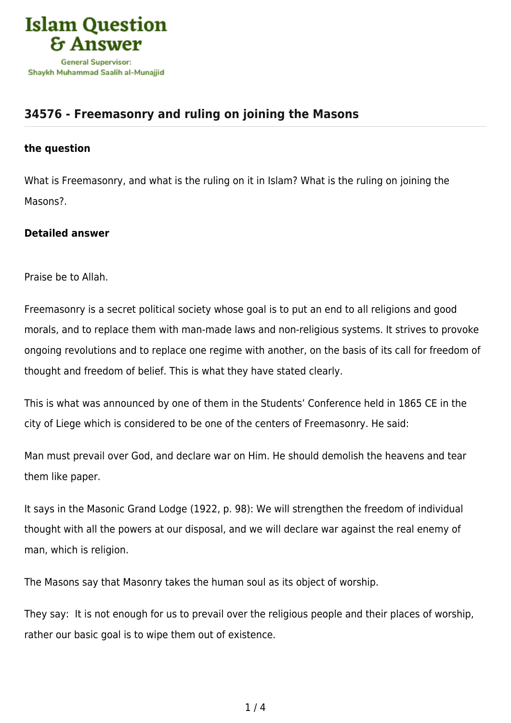

## **[34576 - Freemasonry and ruling on joining the Masons](https://islamqa.com/en/answers/34576/freemasonry-and-ruling-on-joining-the-masons)**

## **the question**

What is Freemasonry, and what is the ruling on it in Islam? What is the ruling on joining the Masons?.

## **Detailed answer**

Praise be to Allah.

Freemasonry is a secret political society whose goal is to put an end to all religions and good morals, and to replace them with man-made laws and non-religious systems. It strives to provoke ongoing revolutions and to replace one regime with another, on the basis of its call for freedom of thought and freedom of belief. This is what they have stated clearly.

This is what was announced by one of them in the Students' Conference held in 1865 CE in the city of Liege which is considered to be one of the centers of Freemasonry. He said:

Man must prevail over God, and declare war on Him. He should demolish the heavens and tear them like paper.

It says in the Masonic Grand Lodge (1922, p. 98): We will strengthen the freedom of individual thought with all the powers at our disposal, and we will declare war against the real enemy of man, which is religion.

The Masons say that Masonry takes the human soul as its object of worship.

They say: It is not enough for us to prevail over the religious people and their places of worship, rather our basic goal is to wipe them out of existence.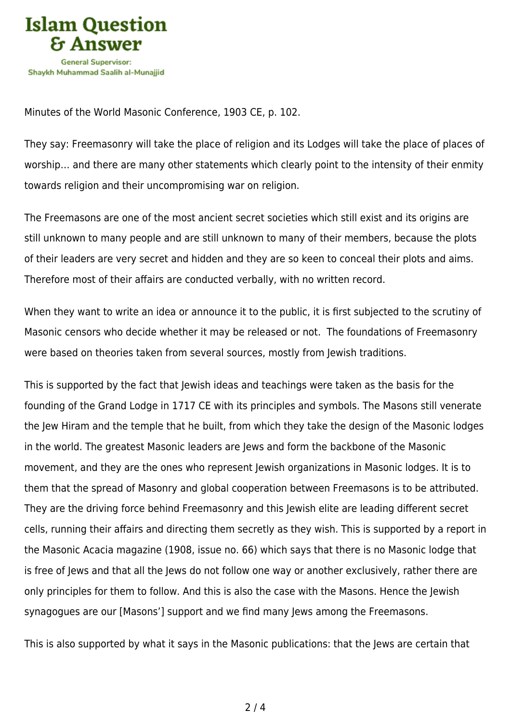

Minutes of the World Masonic Conference, 1903 CE, p. 102.

They say: Freemasonry will take the place of religion and its Lodges will take the place of places of worship… and there are many other statements which clearly point to the intensity of their enmity towards religion and their uncompromising war on religion.

The Freemasons are one of the most ancient secret societies which still exist and its origins are still unknown to many people and are still unknown to many of their members, because the plots of their leaders are very secret and hidden and they are so keen to conceal their plots and aims. Therefore most of their affairs are conducted verbally, with no written record.

When they want to write an idea or announce it to the public, it is first subjected to the scrutiny of Masonic censors who decide whether it may be released or not. The foundations of Freemasonry were based on theories taken from several sources, mostly from Jewish traditions.

This is supported by the fact that Jewish ideas and teachings were taken as the basis for the founding of the Grand Lodge in 1717 CE with its principles and symbols. The Masons still venerate the Jew Hiram and the temple that he built, from which they take the design of the Masonic lodges in the world. The greatest Masonic leaders are Jews and form the backbone of the Masonic movement, and they are the ones who represent Jewish organizations in Masonic lodges. It is to them that the spread of Masonry and global cooperation between Freemasons is to be attributed. They are the driving force behind Freemasonry and this Jewish elite are leading different secret cells, running their affairs and directing them secretly as they wish. This is supported by a report in the Masonic Acacia magazine (1908, issue no. 66) which says that there is no Masonic lodge that is free of Jews and that all the Jews do not follow one way or another exclusively, rather there are only principles for them to follow. And this is also the case with the Masons. Hence the Jewish synagogues are our [Masons'] support and we find many Jews among the Freemasons.

This is also supported by what it says in the Masonic publications: that the Jews are certain that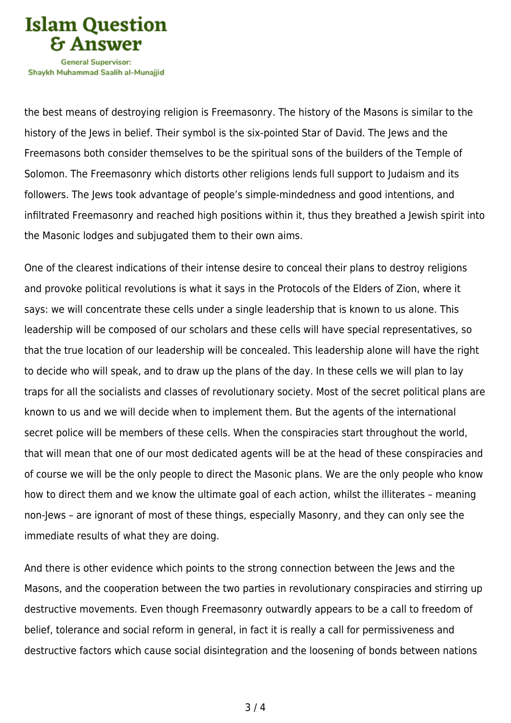

Shavkh Muhammad Saalih al-Munaiiid

the best means of destroying religion is Freemasonry. The history of the Masons is similar to the history of the Jews in belief. Their symbol is the six-pointed Star of David. The Jews and the Freemasons both consider themselves to be the spiritual sons of the builders of the Temple of Solomon. The Freemasonry which distorts other religions lends full support to Judaism and its followers. The Jews took advantage of people's simple-mindedness and good intentions, and infiltrated Freemasonry and reached high positions within it, thus they breathed a Jewish spirit into the Masonic lodges and subjugated them to their own aims.

One of the clearest indications of their intense desire to conceal their plans to destroy religions and provoke political revolutions is what it says in the Protocols of the Elders of Zion, where it says: we will concentrate these cells under a single leadership that is known to us alone. This leadership will be composed of our scholars and these cells will have special representatives, so that the true location of our leadership will be concealed. This leadership alone will have the right to decide who will speak, and to draw up the plans of the day. In these cells we will plan to lay traps for all the socialists and classes of revolutionary society. Most of the secret political plans are known to us and we will decide when to implement them. But the agents of the international secret police will be members of these cells. When the conspiracies start throughout the world, that will mean that one of our most dedicated agents will be at the head of these conspiracies and of course we will be the only people to direct the Masonic plans. We are the only people who know how to direct them and we know the ultimate goal of each action, whilst the illiterates – meaning non-Jews – are ignorant of most of these things, especially Masonry, and they can only see the immediate results of what they are doing.

And there is other evidence which points to the strong connection between the Jews and the Masons, and the cooperation between the two parties in revolutionary conspiracies and stirring up destructive movements. Even though Freemasonry outwardly appears to be a call to freedom of belief, tolerance and social reform in general, in fact it is really a call for permissiveness and destructive factors which cause social disintegration and the loosening of bonds between nations